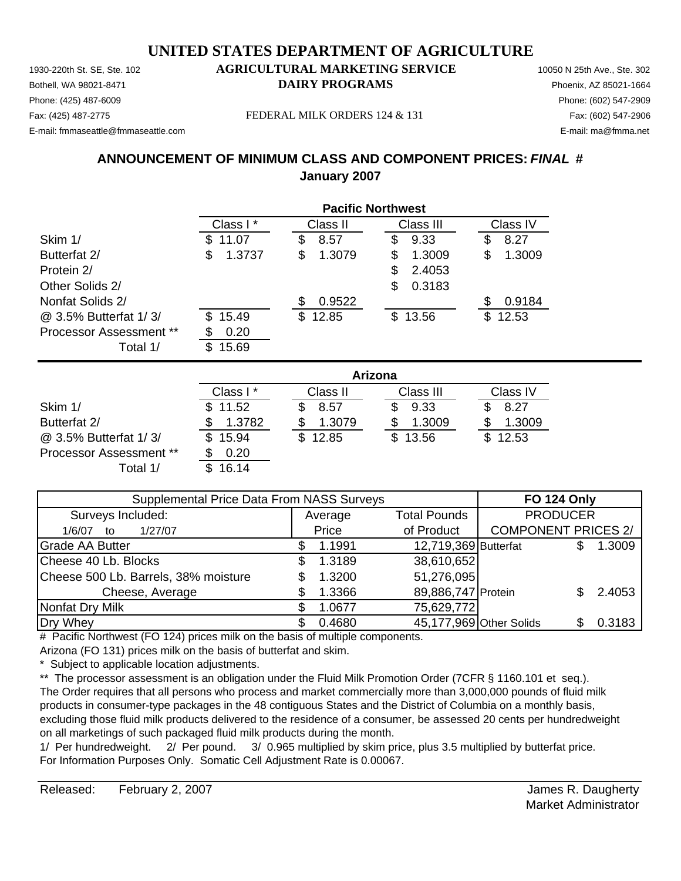1930-220th St. SE, Ste. 102 **AGRICULTURAL MARKETING SERVICE** 10050 N 25th Ave., Ste. 302 Phone: (425) 487-6009 Phone: (602) 547-2909 E-mail: fmmaseattle@fmmaseattle.com E-mail: ma@fmma.net

# Bothell, WA 98021-8471 **DAIRY PROGRAMS** Phoenix, AZ 85021-1664

Fax: (425) 487-2775 FEDERAL MILK ORDERS 124 & 131 Fax: (602) 547-2906

#### **ANNOUNCEMENT OF MINIMUM CLASS AND COMPONENT PRICES:** *FINAL* **# January 2007**

|                                |              | <b>Pacific Northwest</b> |             |              |  |  |  |
|--------------------------------|--------------|--------------------------|-------------|--------------|--|--|--|
|                                | Class I*     | Class II                 | Class III   | Class IV     |  |  |  |
| Skim 1/                        | 11.07<br>S   | 8.57<br>\$               | 9.33<br>\$  | 8.27<br>\$   |  |  |  |
| Butterfat 2/                   | \$<br>1.3737 | 1.3079<br>\$             | 1.3009<br>S | \$<br>1.3009 |  |  |  |
| Protein 2/                     |              |                          | 2.4053<br>S |              |  |  |  |
| Other Solids 2/                |              |                          | 0.3183<br>S |              |  |  |  |
| Nonfat Solids 2/               |              | 0.9522                   |             | 0.9184<br>S  |  |  |  |
| @ 3.5% Butterfat 1/3/          | 15.49<br>\$. | 12.85<br>S.              | \$13.56     | \$<br>12.53  |  |  |  |
| <b>Processor Assessment **</b> | 0.20         |                          |             |              |  |  |  |
| Total 1/                       | 15.69<br>S   |                          |             |              |  |  |  |

|                                | Arizona  |          |           |              |  |
|--------------------------------|----------|----------|-----------|--------------|--|
|                                | Class I* | Class II | Class III | Class IV     |  |
| Skim 1/                        | \$11.52  | 8.57     | 9.33      | 8.27         |  |
| Butterfat 2/                   | 1.3782   | 1.3079   | 1.3009    | 1.3009       |  |
| @ 3.5% Butterfat 1/3/          | 15.94    | \$12.85  | \$13.56   | 12.53<br>\$. |  |
| <b>Processor Assessment **</b> | 0.20     |          |           |              |  |
| Total 1/                       | 16.14    |          |           |              |  |

| Supplemental Price Data From NASS Surveys | <b>FO 124 Only</b> |                      |                            |  |        |
|-------------------------------------------|--------------------|----------------------|----------------------------|--|--------|
| Surveys Included:                         | Average            | <b>Total Pounds</b>  | <b>PRODUCER</b>            |  |        |
| 1/27/07<br>1/6/07<br>to                   | Price              | of Product           | <b>COMPONENT PRICES 2/</b> |  |        |
| <b>Grade AA Butter</b>                    | 1.1991             | 12,719,369 Butterfat |                            |  | 1.3009 |
| Cheese 40 Lb. Blocks                      | 1.3189             | 38,610,652           |                            |  |        |
| Cheese 500 Lb. Barrels, 38% moisture      | 1.3200             | 51,276,095           |                            |  |        |
| Cheese, Average                           | 1.3366             | 89,886,747 Protein   |                            |  | 2.4053 |
| Nonfat Dry Milk                           | 1.0677             | 75,629,772           |                            |  |        |
| Dry Whey                                  | 0.4680             |                      | 45,177,969 Other Solids    |  | 0.3183 |

# Pacific Northwest (FO 124) prices milk on the basis of multiple components. Arizona (FO 131) prices milk on the basis of butterfat and skim.

\* Subject to applicable location adjustments.

\*\* The processor assessment is an obligation under the Fluid Milk Promotion Order (7CFR § 1160.101 et seq.). The Order requires that all persons who process and market commercially more than 3,000,000 pounds of fluid milk products in consumer-type packages in the 48 contiguous States and the District of Columbia on a monthly basis, excluding those fluid milk products delivered to the residence of a consumer, be assessed 20 cents per hundredweight on all marketings of such packaged fluid milk products during the month.

1/ Per hundredweight. 2/ Per pound. 3/ 0.965 multiplied by skim price, plus 3.5 multiplied by butterfat price. For Information Purposes Only. Somatic Cell Adjustment Rate is 0.00067.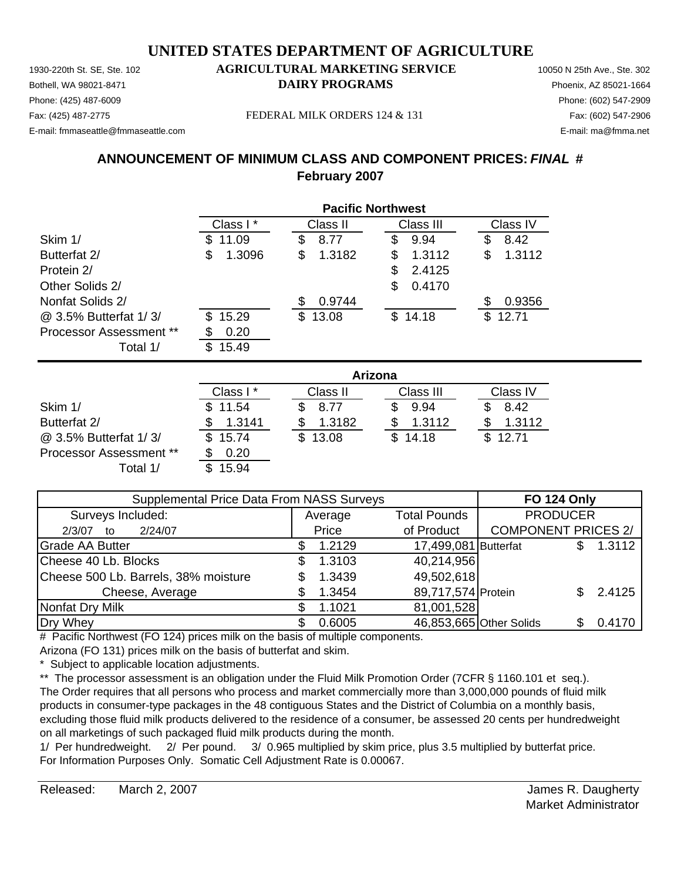1930-220th St. SE, Ste. 102 **AGRICULTURAL MARKETING SERVICE** 10050 N 25th Ave., Ste. 302 Phone: (425) 487-6009 Phone: (602) 547-2909 E-mail: fmmaseattle@fmmaseattle.com E-mail: ma@fmma.net

# Bothell, WA 98021-8471 **DAIRY PROGRAMS** Phoenix, AZ 85021-1664

Fax: (425) 487-2775 FEDERAL MILK ORDERS 124 & 131 Fax: (602) 547-2906

#### **ANNOUNCEMENT OF MINIMUM CLASS AND COMPONENT PRICES:** *FINAL* **# February 2007**

|                                | <b>Pacific Northwest</b> |              |              |              |  |  |
|--------------------------------|--------------------------|--------------|--------------|--------------|--|--|
|                                | Class I*                 | Class II     | Class III    | Class IV     |  |  |
| Skim 1/                        | 11.09<br>SS.             | 8.77<br>\$   | 9.94<br>S    | 8.42<br>\$   |  |  |
| Butterfat 2/                   | 1.3096<br>\$             | 1.3182<br>\$ | 1.3112<br>\$ | 1.3112<br>\$ |  |  |
| Protein 2/                     |                          |              | 2.4125<br>S  |              |  |  |
| Other Solids 2/                |                          |              | \$<br>0.4170 |              |  |  |
| Nonfat Solids 2/               |                          | 0.9744<br>S  |              | 0.9356<br>S  |  |  |
| @ 3.5% Butterfat 1/3/          | 15.29<br>S.              | \$13.08      | \$14.18      | 12.71<br>\$. |  |  |
| <b>Processor Assessment **</b> | 0.20                     |              |              |              |  |  |
| Total 1/                       | 15.49<br>S               |              |              |              |  |  |

|                                | Arizona  |              |           |          |  |  |
|--------------------------------|----------|--------------|-----------|----------|--|--|
|                                | Class I* | Class II     | Class III | Class IV |  |  |
| Skim 1/                        | \$11.54  | 8.77         | 9.94      | 8.42     |  |  |
| Butterfat 2/                   | 1.3141   | 1.3182       | 1.3112    | 1.3112   |  |  |
| @ 3.5% Butterfat 1/3/          | \$15.74  | 13.08<br>\$. | \$14.18   | \$12.71  |  |  |
| <b>Processor Assessment **</b> | 0.20     |              |           |          |  |  |
| Total 1/                       | 15.94    |              |           |          |  |  |

| Supplemental Price Data From NASS Surveys |  |         |                         | <b>FO 124 Only</b>         |  |        |
|-------------------------------------------|--|---------|-------------------------|----------------------------|--|--------|
| Surveys Included:                         |  | Average | <b>Total Pounds</b>     | <b>PRODUCER</b>            |  |        |
| 2/24/07<br>2/3/07<br>to                   |  | Price   | of Product              | <b>COMPONENT PRICES 2/</b> |  |        |
| <b>Grade AA Butter</b>                    |  | 1.2129  | 17,499,081 Butterfat    |                            |  | 1.3112 |
| Cheese 40 Lb. Blocks                      |  | 1.3103  | 40,214,956              |                            |  |        |
| Cheese 500 Lb. Barrels, 38% moisture      |  | 1.3439  | 49,502,618              |                            |  |        |
| Cheese, Average                           |  | 1.3454  | 89,717,574 Protein      |                            |  | 2.4125 |
| Nonfat Dry Milk                           |  | 1.1021  | 81,001,528              |                            |  |        |
| Dry Whey                                  |  | 0.6005  | 46,853,665 Other Solids |                            |  | 0.4170 |

# Pacific Northwest (FO 124) prices milk on the basis of multiple components. Arizona (FO 131) prices milk on the basis of butterfat and skim.

\* Subject to applicable location adjustments.

\*\* The processor assessment is an obligation under the Fluid Milk Promotion Order (7CFR § 1160.101 et seq.). The Order requires that all persons who process and market commercially more than 3,000,000 pounds of fluid milk products in consumer-type packages in the 48 contiguous States and the District of Columbia on a monthly basis, excluding those fluid milk products delivered to the residence of a consumer, be assessed 20 cents per hundredweight on all marketings of such packaged fluid milk products during the month.

1/ Per hundredweight. 2/ Per pound. 3/ 0.965 multiplied by skim price, plus 3.5 multiplied by butterfat price. For Information Purposes Only. Somatic Cell Adjustment Rate is 0.00067.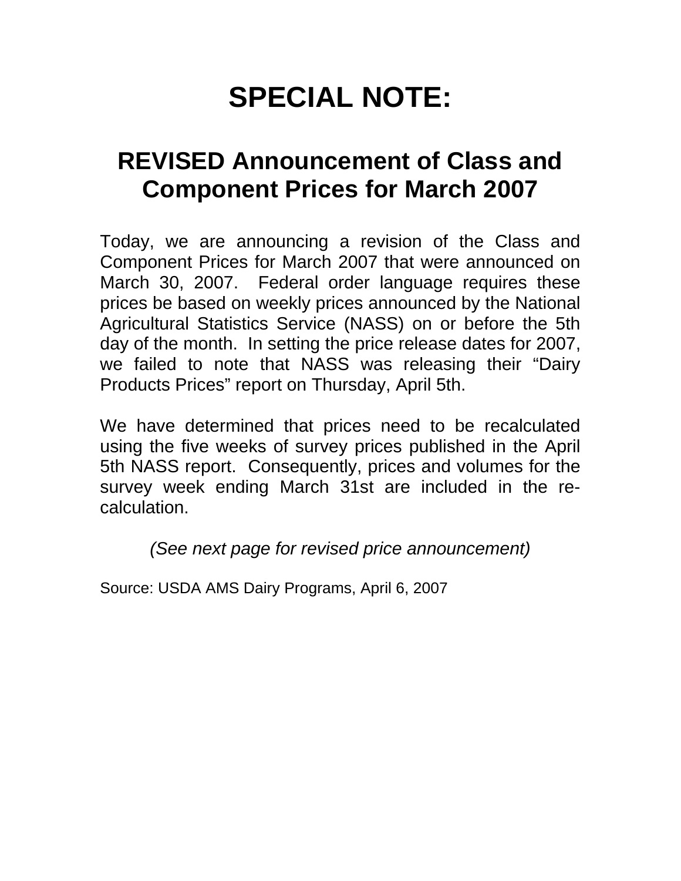# **SPECIAL NOTE:**

# **REVISED Announcement of Class and Component Prices for March 2007**

Today, we are announcing a revision of the Class and Component Prices for March 2007 that were announced on March 30, 2007. Federal order language requires these prices be based on weekly prices announced by the National Agricultural Statistics Service (NASS) on or before the 5th day of the month. In setting the price release dates for 2007, we failed to note that NASS was releasing their "Dairy Products Prices" report on Thursday, April 5th.

We have determined that prices need to be recalculated using the five weeks of survey prices published in the April 5th NASS report. Consequently, prices and volumes for the survey week ending March 31st are included in the recalculation.

*(See next page for revised price announcement)* 

Source: USDA AMS Dairy Programs, April 6, 2007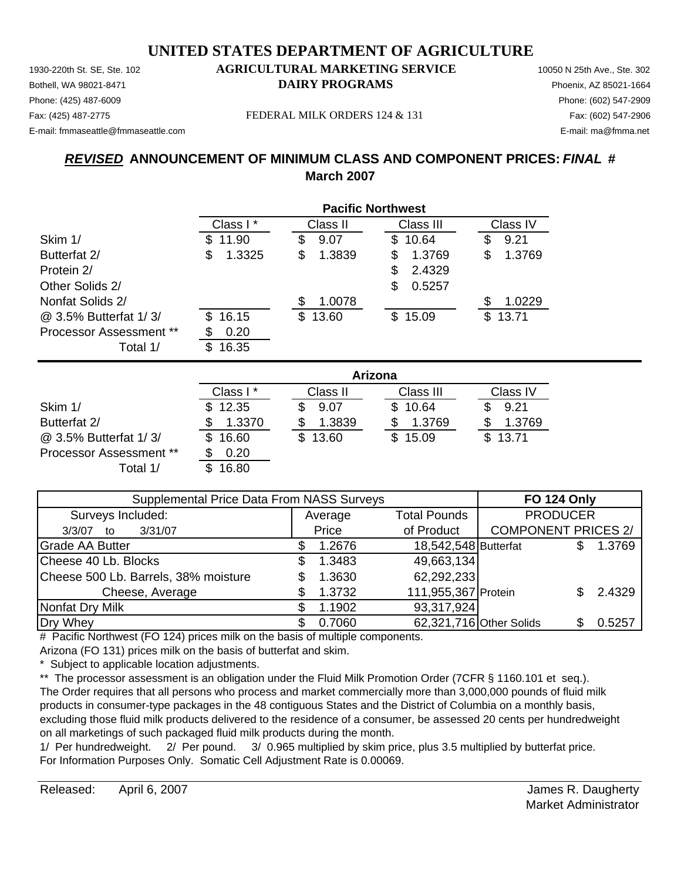Phone: (425) 487-6009 Phone: (602) 547-2909 E-mail: fmmaseattle@fmmaseattle.com E-mail: ma@fmma.net

#### 1930-220th St. SE, Ste. 102 **AGRICULTURAL MARKETING SERVICE** 10050 N 25th Ave., Ste. 302 Bothell, WA 98021-8471 **DAIRY PROGRAMS** Phoenix, AZ 85021-1664

Fax: (425) 487-2775 FEDERAL MILK ORDERS 124 & 131 Fax: (602) 547-2906

### *REVISED* **ANNOUNCEMENT OF MINIMUM CLASS AND COMPONENT PRICES:** *FINAL* **# March 2007**

|                         | <b>Pacific Northwest</b> |             |              |              |  |  |
|-------------------------|--------------------------|-------------|--------------|--------------|--|--|
|                         | Class I*                 | Class II    | Class III    | Class IV     |  |  |
| Skim 1/                 | 11.90<br>S               | 9.07<br>\$  | 10.64<br>\$. | 9.21<br>S    |  |  |
| Butterfat 2/            | 1.3325<br>\$             | 1.3839<br>S | 1.3769<br>S  | 1.3769<br>S  |  |  |
| Protein 2/              |                          |             | 2.4329<br>S  |              |  |  |
| Other Solids 2/         |                          |             | 0.5257<br>S  |              |  |  |
| Nonfat Solids 2/        |                          | 1.0078      |              | 1.0229<br>S  |  |  |
| @ 3.5% Butterfat 1/3/   | 16.15<br>\$.             | 13.60<br>\$ | 15.09<br>\$  | 13.71<br>\$. |  |  |
| Processor Assessment ** | 0.20                     |             |              |              |  |  |
| Total 1/                | 16.35<br>S.              |             |              |              |  |  |

|                                |              | Arizona      |           |          |  |  |  |
|--------------------------------|--------------|--------------|-----------|----------|--|--|--|
|                                | Class I*     | Class II     | Class III | Class IV |  |  |  |
| Skim 1/                        | \$12.35      | 9.07         | \$10.64   | 9.21     |  |  |  |
| Butterfat 2/                   | 1.3370       | 1.3839       | 1.3769    | 1.3769   |  |  |  |
| @ 3.5% Butterfat 1/3/          | 16.60<br>SS. | 13.60<br>\$. | \$15.09   | \$13.71  |  |  |  |
| <b>Processor Assessment **</b> | 0.20         |              |           |          |  |  |  |
| Total 1/                       | 16.80        |              |           |          |  |  |  |

| Supplemental Price Data From NASS Surveys |  |         |                      | <b>FO 124 Only</b>         |        |
|-------------------------------------------|--|---------|----------------------|----------------------------|--------|
| Surveys Included:                         |  | Average | <b>Total Pounds</b>  | <b>PRODUCER</b>            |        |
| 3/31/07<br>3/3/07<br>to                   |  | Price   | of Product           | <b>COMPONENT PRICES 2/</b> |        |
| <b>Grade AA Butter</b>                    |  | 1.2676  | 18,542,548 Butterfat |                            | 1.3769 |
| Cheese 40 Lb. Blocks                      |  | 1.3483  | 49,663,134           |                            |        |
| Cheese 500 Lb. Barrels, 38% moisture      |  | 1.3630  | 62,292,233           |                            |        |
| Cheese, Average                           |  | 1.3732  | 111,955,367 Protein  |                            | 2.4329 |
| Nonfat Dry Milk                           |  | 1.1902  | 93,317,924           |                            |        |
| Dry Whey                                  |  | 0.7060  |                      | 62,321,716 Other Solids    | 0.5257 |

# Pacific Northwest (FO 124) prices milk on the basis of multiple components. Arizona (FO 131) prices milk on the basis of butterfat and skim.

\* Subject to applicable location adjustments.

\*\* The processor assessment is an obligation under the Fluid Milk Promotion Order (7CFR § 1160.101 et seq.). The Order requires that all persons who process and market commercially more than 3,000,000 pounds of fluid milk products in consumer-type packages in the 48 contiguous States and the District of Columbia on a monthly basis, excluding those fluid milk products delivered to the residence of a consumer, be assessed 20 cents per hundredweight on all marketings of such packaged fluid milk products during the month.

1/ Per hundredweight. 2/ Per pound. 3/ 0.965 multiplied by skim price, plus 3.5 multiplied by butterfat price. For Information Purposes Only. Somatic Cell Adjustment Rate is 0.00069.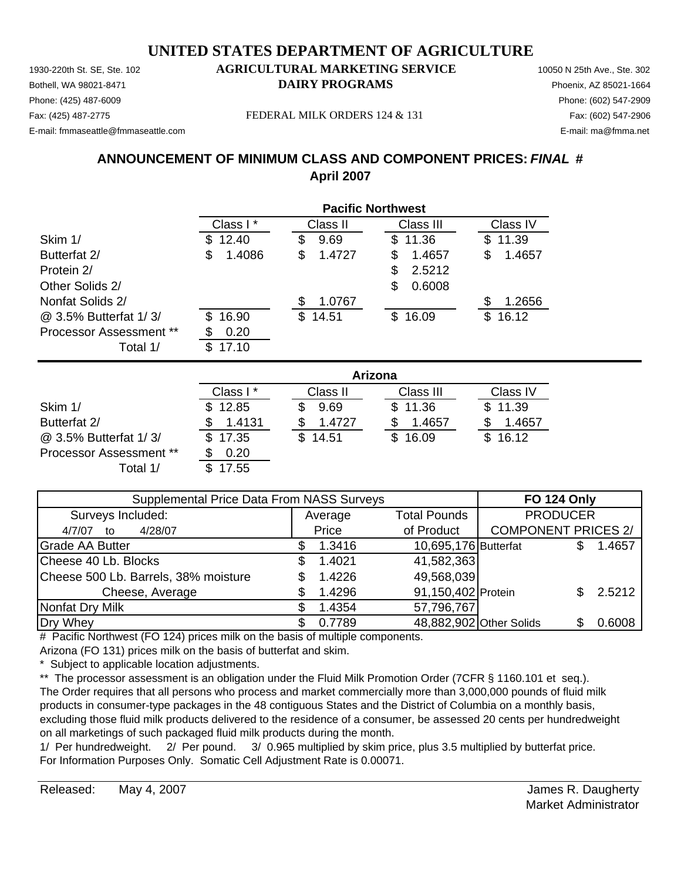Phone: (425) 487-6009 Phone: (602) 547-2909 E-mail: fmmaseattle@fmmaseattle.com E-mail: ma@fmma.net

#### 1930-220th St. SE, Ste. 102 **AGRICULTURAL MARKETING SERVICE** 10050 N 25th Ave., Ste. 302 Bothell, WA 98021-8471 **DAIRY PROGRAMS** Phoenix, AZ 85021-1664

Fax: (425) 487-2775 FEDERAL MILK ORDERS 124 & 131 Fax: (602) 547-2906

#### **ANNOUNCEMENT OF MINIMUM CLASS AND COMPONENT PRICES:** *FINAL* **# April 2007**

|                                | <b>Pacific Northwest</b> |             |              |             |  |  |  |
|--------------------------------|--------------------------|-------------|--------------|-------------|--|--|--|
|                                | Class I*                 | Class II    | Class III    | Class IV    |  |  |  |
| Skim 1/                        | 12.40<br>\$.             | 9.69<br>S   | \$11.36      | 11.39<br>S  |  |  |  |
| Butterfat 2/                   | \$<br>1.4086             | 1.4727<br>S | 1.4657<br>S  | 1.4657<br>S |  |  |  |
| Protein 2/                     |                          |             | 2.5212<br>\$ |             |  |  |  |
| Other Solids 2/                |                          |             | 0.6008<br>S  |             |  |  |  |
| Nonfat Solids 2/               |                          | 1.0767      |              | 1.2656      |  |  |  |
| @ 3.5% Butterfat 1/3/          | 16.90<br>S               | 14.51<br>\$ | 16.09<br>S.  | 16.12<br>\$ |  |  |  |
| <b>Processor Assessment **</b> | 0.20                     |             |              |             |  |  |  |
| Total 1/                       | 17.10<br>£.              |             |              |             |  |  |  |

|                                | Arizona  |              |           |          |  |  |
|--------------------------------|----------|--------------|-----------|----------|--|--|
|                                | Class I* | Class II     | Class III | Class IV |  |  |
| Skim 1/                        | \$12.85  | 9.69         | \$11.36   | \$11.39  |  |  |
| Butterfat 2/                   | 1.4131   | 1.4727       | 1.4657    | 1.4657   |  |  |
| @ 3.5% Butterfat 1/3/          | \$17.35  | 14.51<br>\$. | \$16.09   | \$16.12  |  |  |
| <b>Processor Assessment **</b> | 0.20     |              |           |          |  |  |
| Total 1/                       | 17.55    |              |           |          |  |  |

| Supplemental Price Data From NASS Surveys | <b>FO 124 Only</b> |                      |                            |        |
|-------------------------------------------|--------------------|----------------------|----------------------------|--------|
| Surveys Included:                         | Average            | <b>Total Pounds</b>  | <b>PRODUCER</b>            |        |
| 4/28/07<br>4/7/07<br>to                   | Price              | of Product           | <b>COMPONENT PRICES 2/</b> |        |
| <b>Grade AA Butter</b>                    | 1.3416             | 10,695,176 Butterfat |                            | 1.4657 |
| Cheese 40 Lb. Blocks                      | 1.4021             | 41,582,363           |                            |        |
| Cheese 500 Lb. Barrels, 38% moisture      | 1.4226             | 49,568,039           |                            |        |
| Cheese, Average                           | 1.4296             | 91,150,402 Protein   |                            | 2.5212 |
| Nonfat Dry Milk                           | 1.4354             | 57,796,767           |                            |        |
| Dry Whey                                  | 0.7789             |                      | 48,882,902 Other Solids    | 0.6008 |

# Pacific Northwest (FO 124) prices milk on the basis of multiple components. Arizona (FO 131) prices milk on the basis of butterfat and skim.

\* Subject to applicable location adjustments.

\*\* The processor assessment is an obligation under the Fluid Milk Promotion Order (7CFR § 1160.101 et seq.). The Order requires that all persons who process and market commercially more than 3,000,000 pounds of fluid milk products in consumer-type packages in the 48 contiguous States and the District of Columbia on a monthly basis, excluding those fluid milk products delivered to the residence of a consumer, be assessed 20 cents per hundredweight on all marketings of such packaged fluid milk products during the month.

1/ Per hundredweight. 2/ Per pound. 3/ 0.965 multiplied by skim price, plus 3.5 multiplied by butterfat price. For Information Purposes Only. Somatic Cell Adjustment Rate is 0.00071.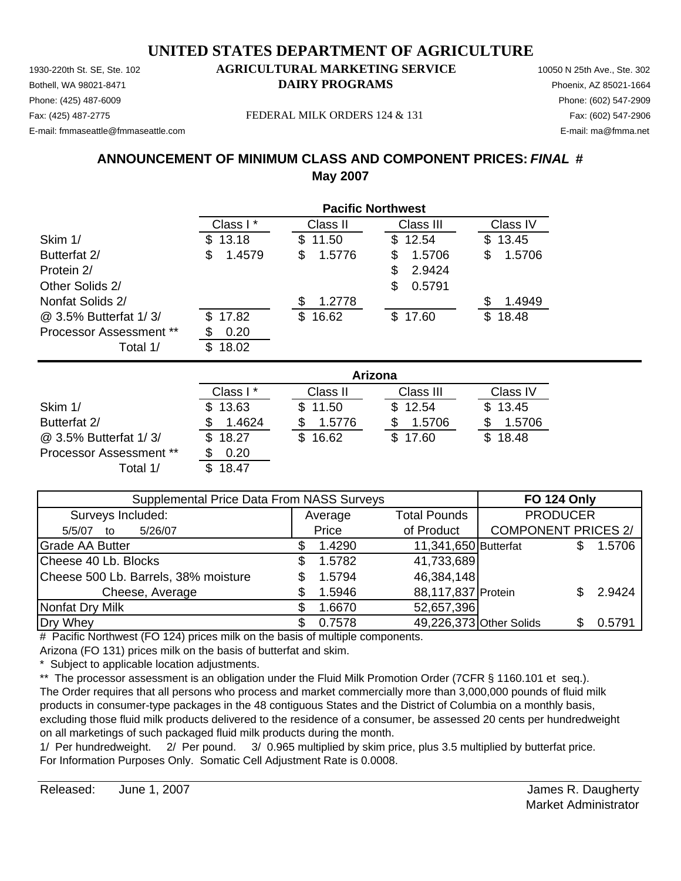Phone: (425) 487-6009 Phone: (602) 547-2909 E-mail: fmmaseattle@fmmaseattle.com E-mail: ma@fmma.net

#### 1930-220th St. SE, Ste. 102 **AGRICULTURAL MARKETING SERVICE** 10050 N 25th Ave., Ste. 302 Bothell, WA 98021-8471 **DAIRY PROGRAMS** Phoenix, AZ 85021-1664

Fax: (425) 487-2775 FEDERAL MILK ORDERS 124 & 131 Fax: (602) 547-2906

#### **ANNOUNCEMENT OF MINIMUM CLASS AND COMPONENT PRICES:** *FINAL* **# May 2007**

|                                | <b>Pacific Northwest</b> |              |              |              |  |  |
|--------------------------------|--------------------------|--------------|--------------|--------------|--|--|
|                                | Class I*                 | Class II     | Class III    | Class IV     |  |  |
| Skim 1/                        | 13.18<br>\$.             | 11.50<br>S.  | \$12.54      | 13.45<br>S.  |  |  |
| Butterfat 2/                   | \$<br>1.4579             | 1.5776<br>\$ | 1.5706<br>\$ | 1.5706<br>\$ |  |  |
| Protein 2/                     |                          |              | 2.9424<br>S  |              |  |  |
| Other Solids 2/                |                          |              | 0.5791<br>S  |              |  |  |
| Nonfat Solids 2/               |                          | 1.2778       |              | 1.4949       |  |  |
| @ 3.5% Butterfat 1/3/          | 17.82<br>\$.             | \$16.62      | \$17.60      | 18.48<br>\$. |  |  |
| <b>Processor Assessment **</b> | 0.20                     |              |              |              |  |  |
| Total 1/                       | 18.02<br>\$.             |              |              |              |  |  |

|                                | Arizona  |              |           |          |  |
|--------------------------------|----------|--------------|-----------|----------|--|
|                                | Class I* | Class II     | Class III | Class IV |  |
| Skim 1/                        | \$13.63  | \$11.50      | \$12.54   | \$13.45  |  |
| Butterfat 2/                   | 1.4624   | 1.5776       | 1.5706    | 1.5706   |  |
| @ 3.5% Butterfat 1/3/          | \$18.27  | 16.62<br>SS. | \$17.60   | \$18.48  |  |
| <b>Processor Assessment **</b> | 0.20     |              |           |          |  |
| Total 1/                       | 18.47    |              |           |          |  |

| Supplemental Price Data From NASS Surveys | <b>FO 124 Only</b> |         |                         |                            |  |        |
|-------------------------------------------|--------------------|---------|-------------------------|----------------------------|--|--------|
| Surveys Included:                         |                    | Average | <b>Total Pounds</b>     | <b>PRODUCER</b>            |  |        |
| 5/26/07<br>5/5/07<br>to                   |                    | Price   | of Product              | <b>COMPONENT PRICES 2/</b> |  |        |
| <b>Grade AA Butter</b>                    |                    | 1.4290  | 11,341,650 Butterfat    |                            |  | 1.5706 |
| Cheese 40 Lb. Blocks                      | S                  | 1.5782  | 41,733,689              |                            |  |        |
| Cheese 500 Lb. Barrels, 38% moisture      |                    | 1.5794  | 46,384,148              |                            |  |        |
| Cheese, Average                           |                    | 1.5946  | 88,117,837 Protein      |                            |  | 2.9424 |
| Nonfat Dry Milk                           |                    | 1.6670  | 52,657,396              |                            |  |        |
| Dry Whey                                  |                    | 0.7578  | 49,226,373 Other Solids |                            |  | 0.5791 |

# Pacific Northwest (FO 124) prices milk on the basis of multiple components. Arizona (FO 131) prices milk on the basis of butterfat and skim.

\* Subject to applicable location adjustments.

\*\* The processor assessment is an obligation under the Fluid Milk Promotion Order (7CFR § 1160.101 et seq.). The Order requires that all persons who process and market commercially more than 3,000,000 pounds of fluid milk products in consumer-type packages in the 48 contiguous States and the District of Columbia on a monthly basis, excluding those fluid milk products delivered to the residence of a consumer, be assessed 20 cents per hundredweight on all marketings of such packaged fluid milk products during the month.

1/ Per hundredweight. 2/ Per pound. 3/ 0.965 multiplied by skim price, plus 3.5 multiplied by butterfat price. For Information Purposes Only. Somatic Cell Adjustment Rate is 0.0008.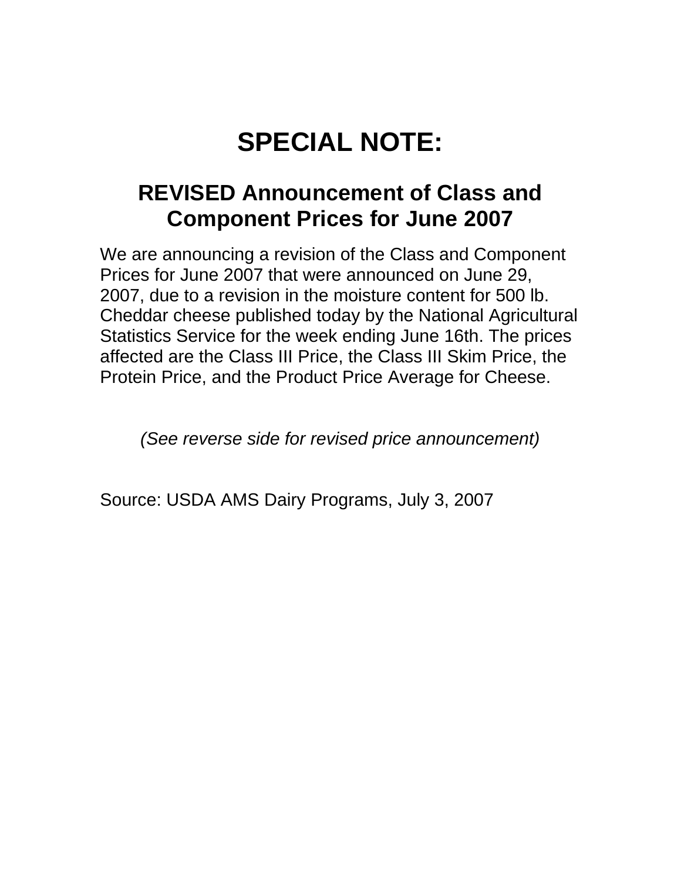# **SPECIAL NOTE:**

# **REVISED Announcement of Class and Component Prices for June 2007**

We are announcing a revision of the Class and Component Prices for June 2007 that were announced on June 29, 2007, due to a revision in the moisture content for 500 lb. Cheddar cheese published today by the National Agricultural Statistics Service for the week ending June 16th. The prices affected are the Class III Price, the Class III Skim Price, the Protein Price, and the Product Price Average for Cheese.

*(See reverse side for revised price announcement)* 

Source: USDA AMS Dairy Programs, July 3, 2007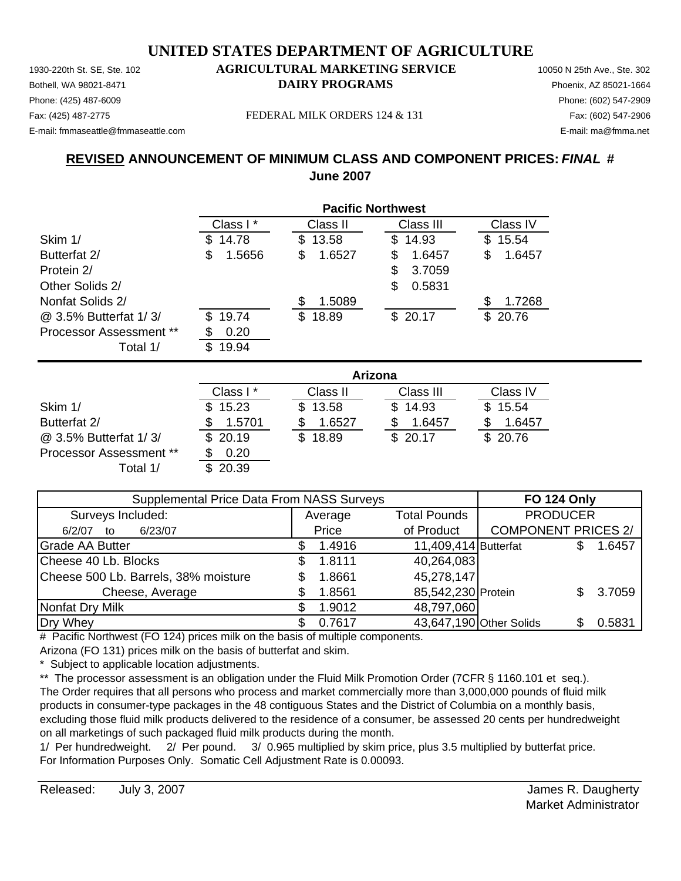Phone: (425) 487-6009 Phone: (602) 547-2909 E-mail: fmmaseattle@fmmaseattle.com E-mail: ma@fmma.net

#### 1930-220th St. SE, Ste. 102 **AGRICULTURAL MARKETING SERVICE** 10050 N 25th Ave., Ste. 302 Bothell, WA 98021-8471 **DAIRY PROGRAMS** Phoenix, AZ 85021-1664

Fax: (425) 487-2775 Fax: (602) 547-2906 FEDERAL MILK ORDERS 124 & 131

### **REVISED ANNOUNCEMENT OF MINIMUM CLASS AND COMPONENT PRICES:** *FINAL* **# June 2007**

|                         | <b>Pacific Northwest</b> |              |              |              |  |  |
|-------------------------|--------------------------|--------------|--------------|--------------|--|--|
|                         | Class I*                 | Class II     | Class III    | Class IV     |  |  |
| Skim 1/                 | 14.78<br>S.              | 13.58<br>\$. | 14.93<br>\$. | 15.54<br>S   |  |  |
| Butterfat 2/            | 1.5656<br>\$             | 1.6527<br>\$ | 1.6457<br>S  | 1.6457<br>\$ |  |  |
| Protein 2/              |                          |              | 3.7059<br>S  |              |  |  |
| Other Solids 2/         |                          |              | 0.5831<br>S  |              |  |  |
| Nonfat Solids 2/        |                          | 1.5089       |              | 1.7268<br>S  |  |  |
| @ 3.5% Butterfat 1/3/   | 19.74<br>\$.             | 18.89<br>\$  | \$20.17      | \$20.76      |  |  |
| Processor Assessment ** | 0.20                     |              |              |              |  |  |
| Total 1/                | 19.94<br>\$.             |              |              |              |  |  |

|                                | Arizona  |              |           |          |  |
|--------------------------------|----------|--------------|-----------|----------|--|
|                                | Class I* | Class II     | Class III | Class IV |  |
| Skim 1/                        | \$15.23  | \$13.58      | \$14.93   | \$15.54  |  |
| Butterfat 2/                   | 1.5701   | 1.6527       | 1.6457    | 1.6457   |  |
| @ 3.5% Butterfat 1/3/          | \$20.19  | 18.89<br>\$. | \$20.17   | \$20.76  |  |
| <b>Processor Assessment **</b> | 0.20     |              |           |          |  |
| Total 1/                       | 20.39    |              |           |          |  |

| Supplemental Price Data From NASS Surveys | <b>FO 124 Only</b> |                      |                            |        |
|-------------------------------------------|--------------------|----------------------|----------------------------|--------|
| Surveys Included:                         | Average            | <b>Total Pounds</b>  | <b>PRODUCER</b>            |        |
| 6/23/07<br>6/2/07<br>to                   | Price              | of Product           | <b>COMPONENT PRICES 2/</b> |        |
| <b>Grade AA Butter</b>                    | 1.4916             | 11,409,414 Butterfat |                            | 1.6457 |
| Cheese 40 Lb. Blocks                      | 1.8111             | 40,264,083           |                            |        |
| Cheese 500 Lb. Barrels, 38% moisture      | 1.8661             | 45,278,147           |                            |        |
| Cheese, Average                           | 1.8561             | 85,542,230 Protein   |                            | 3.7059 |
| Nonfat Dry Milk                           | 1.9012             | 48,797,060           |                            |        |
| Dry Whey                                  | 0.7617             |                      | 43,647,190 Other Solids    | 0.5831 |

# Pacific Northwest (FO 124) prices milk on the basis of multiple components. Arizona (FO 131) prices milk on the basis of butterfat and skim.

\* Subject to applicable location adjustments.

\*\* The processor assessment is an obligation under the Fluid Milk Promotion Order (7CFR § 1160.101 et seq.). The Order requires that all persons who process and market commercially more than 3,000,000 pounds of fluid milk products in consumer-type packages in the 48 contiguous States and the District of Columbia on a monthly basis, excluding those fluid milk products delivered to the residence of a consumer, be assessed 20 cents per hundredweight on all marketings of such packaged fluid milk products during the month.

1/ Per hundredweight. 2/ Per pound. 3/ 0.965 multiplied by skim price, plus 3.5 multiplied by butterfat price. For Information Purposes Only. Somatic Cell Adjustment Rate is 0.00093.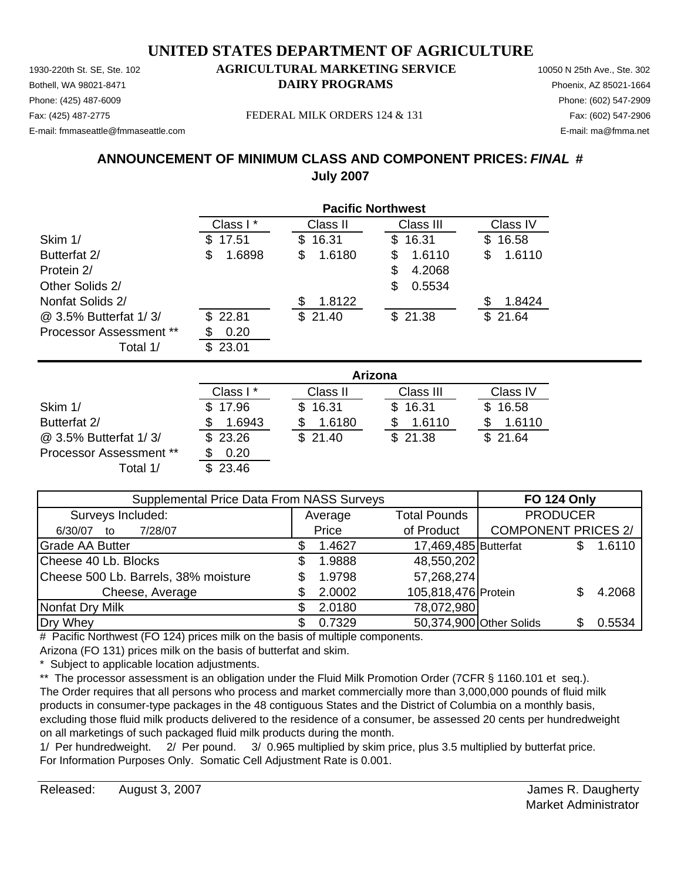Phone: (425) 487-6009 Phone: (602) 547-2909 E-mail: fmmaseattle@fmmaseattle.com E-mail: ma@fmma.net

#### 1930-220th St. SE, Ste. 102 **AGRICULTURAL MARKETING SERVICE** 10050 N 25th Ave., Ste. 302 Bothell, WA 98021-8471 **DAIRY PROGRAMS** Phoenix, AZ 85021-1664

Fax: (425) 487-2775 FEDERAL MILK ORDERS 124 & 131 Fax: (602) 547-2906

#### **ANNOUNCEMENT OF MINIMUM CLASS AND COMPONENT PRICES:** *FINAL* **# July 2007**

|                                | <b>Pacific Northwest</b> |              |              |              |  |  |
|--------------------------------|--------------------------|--------------|--------------|--------------|--|--|
|                                | Class I*                 | Class II     | Class III    | Class IV     |  |  |
| Skim 1/                        | 17.51<br>S.              | 16.31<br>S   | 16.31<br>SS. | 16.58<br>\$. |  |  |
| Butterfat 2/                   | \$<br>1.6898             | 1.6180<br>\$ | 1.6110<br>S  | \$<br>1.6110 |  |  |
| Protein 2/                     |                          |              | 4.2068<br>S  |              |  |  |
| Other Solids 2/                |                          |              | 0.5534<br>S  |              |  |  |
| Nonfat Solids 2/               |                          | 1.8122       |              | 1.8424       |  |  |
| @ 3.5% Butterfat 1/3/          | \$22.81                  | \$21.40      | \$21.38      | \$21.64      |  |  |
| <b>Processor Assessment **</b> | 0.20                     |              |              |              |  |  |
| Total 1/                       | 23.01<br>\$.             |              |              |              |  |  |

|                                | Arizona  |          |           |          |  |  |
|--------------------------------|----------|----------|-----------|----------|--|--|
|                                | Class I* | Class II | Class III | Class IV |  |  |
| Skim 1/                        | \$17.96  | \$16.31  | \$16.31   | \$16.58  |  |  |
| Butterfat 2/                   | 1.6943   | 1.6180   | 1.6110    | 1.6110   |  |  |
| @ 3.5% Butterfat 1/3/          | \$23.26  | \$21.40  | \$21.38   | \$21.64  |  |  |
| <b>Processor Assessment **</b> | 0.20     |          |           |          |  |  |
| Total 1/                       | \$23.46  |          |           |          |  |  |

| Supplemental Price Data From NASS Surveys | <b>FO 124 Only</b> |                         |                            |        |
|-------------------------------------------|--------------------|-------------------------|----------------------------|--------|
| Surveys Included:                         | Average            | <b>Total Pounds</b>     | <b>PRODUCER</b>            |        |
| 7/28/07<br>6/30/07<br>to                  | Price              | of Product              | <b>COMPONENT PRICES 2/</b> |        |
| <b>Grade AA Butter</b>                    | 1.4627             | 17,469,485 Butterfat    |                            | 1.6110 |
| Cheese 40 Lb. Blocks                      | 1.9888             | 48,550,202              |                            |        |
| Cheese 500 Lb. Barrels, 38% moisture      | 1.9798             | 57,268,274              |                            |        |
| Cheese, Average                           | 2.0002             | 105,818,476 Protein     |                            | 4.2068 |
| Nonfat Dry Milk                           | 2.0180             | 78,072,980              |                            |        |
| Dry Whey                                  | 0.7329             | 50,374,900 Other Solids |                            | 0.5534 |

# Pacific Northwest (FO 124) prices milk on the basis of multiple components. Arizona (FO 131) prices milk on the basis of butterfat and skim.

\* Subject to applicable location adjustments.

\*\* The processor assessment is an obligation under the Fluid Milk Promotion Order (7CFR § 1160.101 et seq.). The Order requires that all persons who process and market commercially more than 3,000,000 pounds of fluid milk products in consumer-type packages in the 48 contiguous States and the District of Columbia on a monthly basis, excluding those fluid milk products delivered to the residence of a consumer, be assessed 20 cents per hundredweight on all marketings of such packaged fluid milk products during the month.

1/ Per hundredweight. 2/ Per pound. 3/ 0.965 multiplied by skim price, plus 3.5 multiplied by butterfat price. For Information Purposes Only. Somatic Cell Adjustment Rate is 0.001.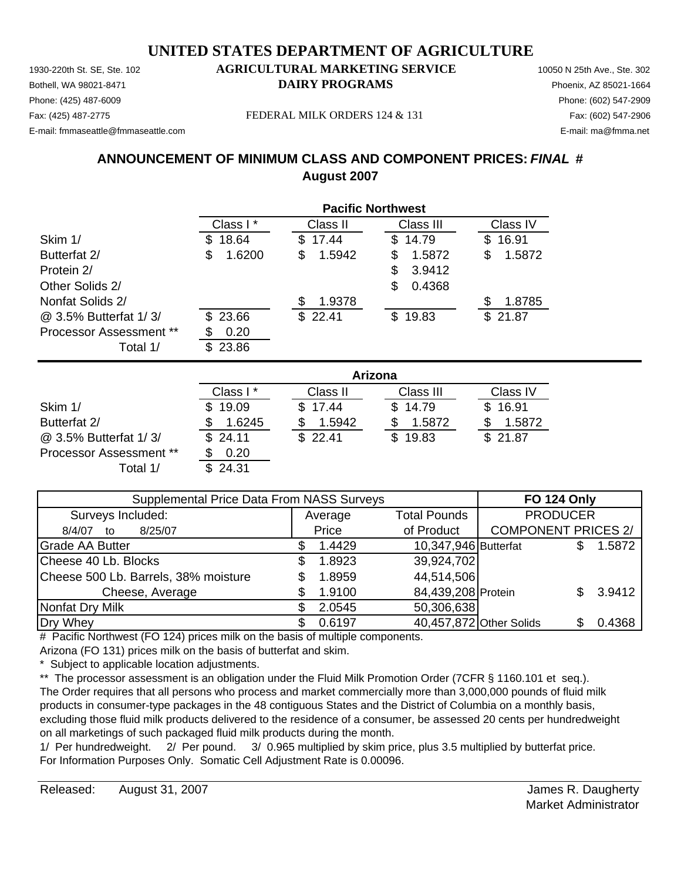Phone: (425) 487-6009 Phone: (602) 547-2909 E-mail: fmmaseattle@fmmaseattle.com E-mail: ma@fmma.net

#### 1930-220th St. SE, Ste. 102 **AGRICULTURAL MARKETING SERVICE** 10050 N 25th Ave., Ste. 302 Bothell, WA 98021-8471 **DAIRY PROGRAMS** Phoenix, AZ 85021-1664

Fax: (425) 487-2775 FEDERAL MILK ORDERS 124 & 131 Fax: (602) 547-2906

#### **ANNOUNCEMENT OF MINIMUM CLASS AND COMPONENT PRICES:** *FINAL* **# August 2007**

|                                | <b>Pacific Northwest</b> |             |               |             |  |  |
|--------------------------------|--------------------------|-------------|---------------|-------------|--|--|
|                                | Class I*                 | Class II    | Class III     | Class IV    |  |  |
| Skim 1/                        | 18.64<br>S               | \$17.44     | 14.79<br>S.   | 16.91<br>\$ |  |  |
| Butterfat 2/                   | \$<br>1.6200             | 1.5942<br>S | 1.5872<br>S   | 1.5872<br>S |  |  |
| Protein 2/                     |                          |             | 3.9412<br>\$. |             |  |  |
| Other Solids 2/                |                          |             | 0.4368<br>S   |             |  |  |
| Nonfat Solids 2/               |                          | 1.9378<br>S |               | 1.8785<br>S |  |  |
| @ 3.5% Butterfat 1/3/          | \$23.66                  | \$22.41     | 19.83<br>\$.  | 21.87<br>\$ |  |  |
| <b>Processor Assessment **</b> | 0.20                     |             |               |             |  |  |
| Total 1/                       | 23.86<br>S               |             |               |             |  |  |

|                                | Arizona   |          |           |          |  |  |
|--------------------------------|-----------|----------|-----------|----------|--|--|
|                                | Class I * | Class II | Class III | Class IV |  |  |
| Skim 1/                        | \$19.09   | \$17.44  | \$14.79   | \$16.91  |  |  |
| Butterfat 2/                   | 1.6245    | 1.5942   | 1.5872    | 1.5872   |  |  |
| @ 3.5% Butterfat 1/3/          | \$24.11   | \$22.41  | \$19.83   | \$21.87  |  |  |
| <b>Processor Assessment **</b> | 0.20      |          |           |          |  |  |
| Total 1/                       | \$24.31   |          |           |          |  |  |

| Supplemental Price Data From NASS Surveys | <b>FO 124 Only</b> |                         |                            |  |        |
|-------------------------------------------|--------------------|-------------------------|----------------------------|--|--------|
| Surveys Included:                         | Average            | <b>Total Pounds</b>     | <b>PRODUCER</b>            |  |        |
| 8/25/07<br>8/4/07<br>to                   | Price              | of Product              | <b>COMPONENT PRICES 2/</b> |  |        |
| <b>Grade AA Butter</b>                    | 1.4429             | 10,347,946 Butterfat    |                            |  | 1.5872 |
| Cheese 40 Lb. Blocks                      | 1.8923             | 39,924,702              |                            |  |        |
| Cheese 500 Lb. Barrels, 38% moisture      | 1.8959             | 44,514,506              |                            |  |        |
| Cheese, Average                           | 1.9100             | 84,439,208 Protein      |                            |  | 3.9412 |
| Nonfat Dry Milk                           | 2.0545             | 50,306,638              |                            |  |        |
| Dry Whey                                  | 0.6197             | 40,457,872 Other Solids |                            |  | 0.4368 |

# Pacific Northwest (FO 124) prices milk on the basis of multiple components. Arizona (FO 131) prices milk on the basis of butterfat and skim.

Subject to applicable location adjustments.

\*\* The processor assessment is an obligation under the Fluid Milk Promotion Order (7CFR § 1160.101 et seq.). The Order requires that all persons who process and market commercially more than 3,000,000 pounds of fluid milk products in consumer-type packages in the 48 contiguous States and the District of Columbia on a monthly basis, excluding those fluid milk products delivered to the residence of a consumer, be assessed 20 cents per hundredweight on all marketings of such packaged fluid milk products during the month.

1/ Per hundredweight. 2/ Per pound. 3/ 0.965 multiplied by skim price, plus 3.5 multiplied by butterfat price. For Information Purposes Only. Somatic Cell Adjustment Rate is 0.00096.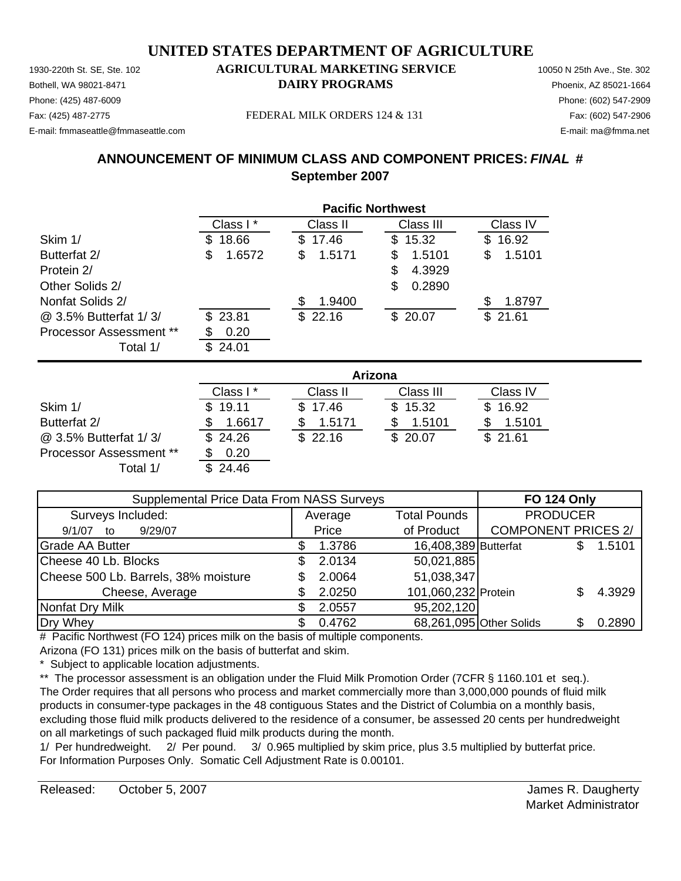Phone: (425) 487-6009 Phone: (602) 547-2909 E-mail: fmmaseattle@fmmaseattle.com E-mail: ma@fmma.net

#### 1930-220th St. SE, Ste. 102 **AGRICULTURAL MARKETING SERVICE** 10050 N 25th Ave., Ste. 302 Bothell, WA 98021-8471 **DAIRY PROGRAMS** Phoenix, AZ 85021-1664

Fax: (425) 487-2775 FEDERAL MILK ORDERS 124 & 131 Fax: (602) 547-2906

#### **ANNOUNCEMENT OF MINIMUM CLASS AND COMPONENT PRICES:** *FINAL* **# September 2007**

|                                |              | <b>Pacific Northwest</b> |             |              |  |  |  |
|--------------------------------|--------------|--------------------------|-------------|--------------|--|--|--|
|                                | Class I*     | Class II                 | Class III   | Class IV     |  |  |  |
| Skim 1/                        | 18.66<br>S   | 17.46<br>\$              | 15.32<br>\$ | 16.92<br>\$. |  |  |  |
| Butterfat 2/                   | \$<br>1.6572 | 1.5171<br>S              | 1.5101<br>S | \$<br>1.5101 |  |  |  |
| Protein 2/                     |              |                          | 4.3929<br>S |              |  |  |  |
| Other Solids 2/                |              |                          | 0.2890<br>S |              |  |  |  |
| Nonfat Solids 2/               |              | 1.9400                   |             | 1.8797<br>S  |  |  |  |
| @ 3.5% Butterfat 1/3/          | \$23.81      | \$22.16                  | \$20.07     | \$21.61      |  |  |  |
| <b>Processor Assessment **</b> | 0.20         |                          |             |              |  |  |  |
| Total 1/                       | 24.01<br>£.  |                          |             |              |  |  |  |

|                                | Arizona  |          |           |          |  |  |
|--------------------------------|----------|----------|-----------|----------|--|--|
|                                | Class I* | Class II | Class III | Class IV |  |  |
| Skim 1/                        | \$19.11  | \$17.46  | \$15.32   | \$16.92  |  |  |
| Butterfat 2/                   | 1.6617   | 1.5171   | 1.5101    | 1.5101   |  |  |
| @ 3.5% Butterfat 1/3/          | \$24.26  | \$22.16  | \$20.07   | \$21.61  |  |  |
| <b>Processor Assessment **</b> | 0.20     |          |           |          |  |  |
| Total 1/                       | 24.46    |          |           |          |  |  |

| Supplemental Price Data From NASS Surveys | <b>FO 124 Only</b> |                      |                            |        |
|-------------------------------------------|--------------------|----------------------|----------------------------|--------|
| Surveys Included:                         | Average            | <b>Total Pounds</b>  | <b>PRODUCER</b>            |        |
| 9/29/07<br>9/1/07<br>to                   | Price              | of Product           | <b>COMPONENT PRICES 2/</b> |        |
| <b>Grade AA Butter</b>                    | 1.3786             | 16,408,389 Butterfat |                            | 1.5101 |
| Cheese 40 Lb. Blocks                      | 2.0134             | 50,021,885           |                            |        |
| Cheese 500 Lb. Barrels, 38% moisture      | 2.0064             | 51,038,347           |                            |        |
| Cheese, Average                           | 2.0250             | 101,060,232 Protein  |                            | 4.3929 |
| Nonfat Dry Milk                           | 2.0557             | 95,202,120           |                            |        |
| Dry Whey                                  | 0.4762             |                      | 68,261,095 Other Solids    | 0.2890 |

# Pacific Northwest (FO 124) prices milk on the basis of multiple components. Arizona (FO 131) prices milk on the basis of butterfat and skim.

\* Subject to applicable location adjustments.

\*\* The processor assessment is an obligation under the Fluid Milk Promotion Order (7CFR § 1160.101 et seq.). The Order requires that all persons who process and market commercially more than 3,000,000 pounds of fluid milk products in consumer-type packages in the 48 contiguous States and the District of Columbia on a monthly basis, excluding those fluid milk products delivered to the residence of a consumer, be assessed 20 cents per hundredweight on all marketings of such packaged fluid milk products during the month.

1/ Per hundredweight. 2/ Per pound. 3/ 0.965 multiplied by skim price, plus 3.5 multiplied by butterfat price. For Information Purposes Only. Somatic Cell Adjustment Rate is 0.00101.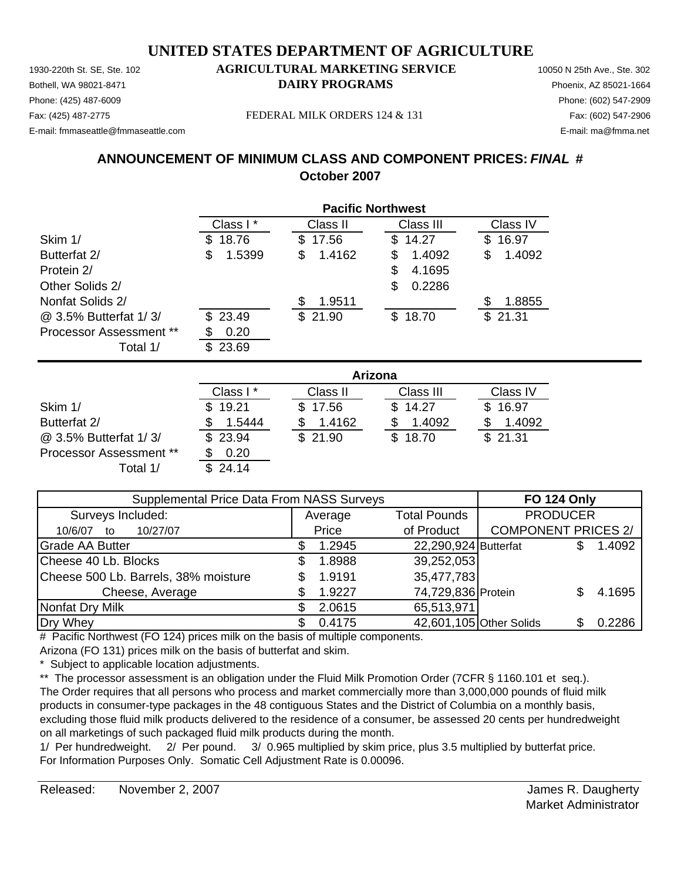Phone: (425) 487-6009 Phone: (602) 547-2909 E-mail: fmmaseattle@fmmaseattle.com E-mail: ma@fmma.net

#### 1930-220th St. SE, Ste. 102 **AGRICULTURAL MARKETING SERVICE** 10050 N 25th Ave., Ste. 302 Bothell, WA 98021-8471 **DAIRY PROGRAMS** Phoenix, AZ 85021-1664

Fax: (425) 487-2775 FEDERAL MILK ORDERS 124 & 131 Fax: (602) 547-2906

#### **ANNOUNCEMENT OF MINIMUM CLASS AND COMPONENT PRICES:** *FINAL* **# October 2007**

|                                |              | <b>Pacific Northwest</b> |             |             |  |  |  |
|--------------------------------|--------------|--------------------------|-------------|-------------|--|--|--|
|                                | Class I*     | Class II                 | Class III   | Class IV    |  |  |  |
| Skim 1/                        | 18.76<br>S   | 17.56<br>\$.             | 14.27<br>S. | 16.97<br>\$ |  |  |  |
| Butterfat 2/                   | 1.5399<br>\$ | 1.4162<br>\$.            | 1.4092<br>S | 1.4092<br>S |  |  |  |
| Protein 2/                     |              |                          | 4.1695<br>S |             |  |  |  |
| Other Solids 2/                |              |                          | 0.2286<br>S |             |  |  |  |
| Nonfat Solids 2/               |              | 1.9511                   |             | S<br>1.8855 |  |  |  |
| @ 3.5% Butterfat 1/3/          | \$23.49      | \$21.90                  | 18.70<br>S. | \$21.31     |  |  |  |
| <b>Processor Assessment **</b> | 0.20         |                          |             |             |  |  |  |
| Total 1/                       | 23.69        |                          |             |             |  |  |  |

|                                | Arizona   |          |           |          |  |  |
|--------------------------------|-----------|----------|-----------|----------|--|--|
|                                | Class I * | Class II | Class III | Class IV |  |  |
| Skim 1/                        | \$19.21   | \$17.56  | \$14.27   | \$16.97  |  |  |
| Butterfat 2/                   | 1.5444    | 1.4162   | 1.4092    | 1.4092   |  |  |
| @ 3.5% Butterfat 1/3/          | \$23.94   | \$21.90  | \$18.70   | \$21.31  |  |  |
| <b>Processor Assessment **</b> | 0.20      |          |           |          |  |  |
| Total 1/                       | 24.14     |          |           |          |  |  |

| Supplemental Price Data From NASS Surveys | <b>FO 124 Only</b> |                      |                            |  |        |
|-------------------------------------------|--------------------|----------------------|----------------------------|--|--------|
| Surveys Included:                         | Average            | <b>Total Pounds</b>  | <b>PRODUCER</b>            |  |        |
| 10/27/07<br>10/6/07<br>to                 | Price              | of Product           | <b>COMPONENT PRICES 2/</b> |  |        |
| <b>Grade AA Butter</b>                    | 1.2945             | 22,290,924 Butterfat |                            |  | 1.4092 |
| Cheese 40 Lb. Blocks                      | 1.8988             | 39,252,053           |                            |  |        |
| Cheese 500 Lb. Barrels, 38% moisture      | 1.9191             | 35,477,783           |                            |  |        |
| Cheese, Average                           | 1.9227             | 74,729,836 Protein   |                            |  | 4.1695 |
| Nonfat Dry Milk                           | 2.0615             | 65,513,971           |                            |  |        |
| Dry Whey                                  | 0.4175             |                      | 42,601,105 Other Solids    |  | 0.2286 |

# Pacific Northwest (FO 124) prices milk on the basis of multiple components. Arizona (FO 131) prices milk on the basis of butterfat and skim.

\* Subject to applicable location adjustments.

\*\* The processor assessment is an obligation under the Fluid Milk Promotion Order (7CFR § 1160.101 et seq.). The Order requires that all persons who process and market commercially more than 3,000,000 pounds of fluid milk products in consumer-type packages in the 48 contiguous States and the District of Columbia on a monthly basis, excluding those fluid milk products delivered to the residence of a consumer, be assessed 20 cents per hundredweight on all marketings of such packaged fluid milk products during the month.

1/ Per hundredweight. 2/ Per pound. 3/ 0.965 multiplied by skim price, plus 3.5 multiplied by butterfat price. For Information Purposes Only. Somatic Cell Adjustment Rate is 0.00096.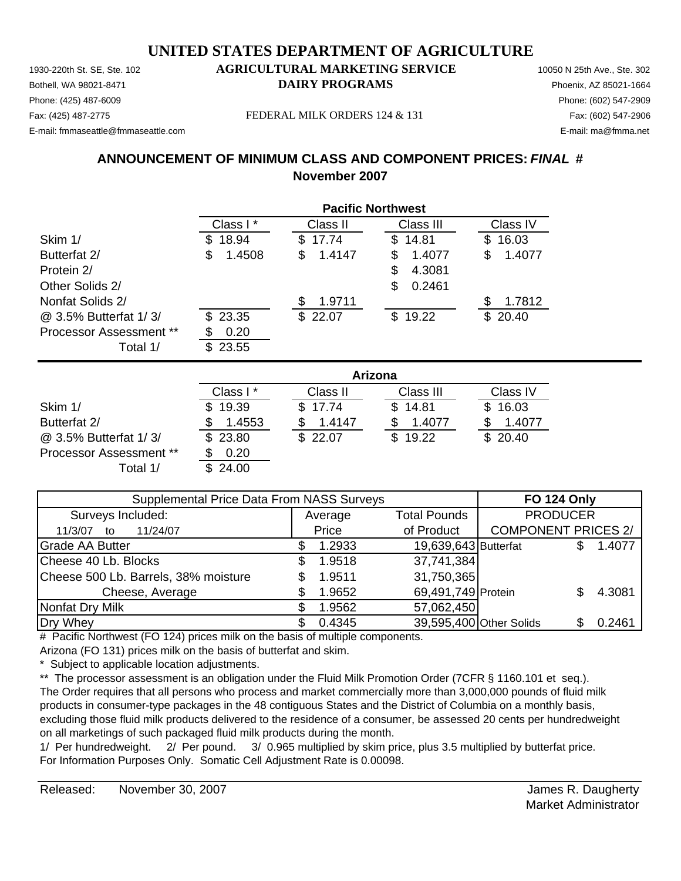Phone: (425) 487-6009 Phone: (602) 547-2909 E-mail: fmmaseattle@fmmaseattle.com E-mail: ma@fmma.net

#### 1930-220th St. SE, Ste. 102 **AGRICULTURAL MARKETING SERVICE** 10050 N 25th Ave., Ste. 302 Bothell, WA 98021-8471 **DAIRY PROGRAMS** Phoenix, AZ 85021-1664

Fax: (425) 487-2775 FEDERAL MILK ORDERS 124 & 131 Fax: (602) 547-2906

#### **ANNOUNCEMENT OF MINIMUM CLASS AND COMPONENT PRICES:** *FINAL* **# November 2007**

|                                | <b>Pacific Northwest</b> |             |             |              |  |  |
|--------------------------------|--------------------------|-------------|-------------|--------------|--|--|
|                                | Class I*                 | Class II    | Class III   | Class IV     |  |  |
| Skim 1/                        | 18.94<br>S               | 17.74<br>\$ | 14.81<br>S. | 16.03<br>S   |  |  |
| Butterfat 2/                   | \$<br>1.4508             | 1.4147<br>S | 1.4077<br>S | 1.4077<br>\$ |  |  |
| Protein 2/                     |                          |             | 4.3081<br>S |              |  |  |
| Other Solids 2/                |                          |             | 0.2461<br>S |              |  |  |
| Nonfat Solids 2/               |                          | 1.9711      |             | 1.7812<br>S  |  |  |
| @ 3.5% Butterfat 1/3/          | \$23.35                  | \$22.07     | \$19.22     | \$20.40      |  |  |
| <b>Processor Assessment **</b> | 0.20                     |             |             |              |  |  |
| Total 1/                       | 23.55<br>ß.              |             |             |              |  |  |

|                         | Arizona   |          |           |          |  |  |
|-------------------------|-----------|----------|-----------|----------|--|--|
|                         | Class I * | Class II | Class III | Class IV |  |  |
| Skim 1/                 | \$19.39   | \$17.74  | \$14.81   | \$16.03  |  |  |
| Butterfat 2/            | 1.4553    | 1.4147   | 1.4077    | 1.4077   |  |  |
| @ 3.5% Butterfat 1/3/   | \$23.80   | \$22.07  | \$19.22   | \$20.40  |  |  |
| Processor Assessment ** | 0.20      |          |           |          |  |  |
| Total 1/                | \$24.00   |          |           |          |  |  |

| Supplemental Price Data From NASS Surveys |  |         |                      | <b>FO 124 Only</b>         |  |        |
|-------------------------------------------|--|---------|----------------------|----------------------------|--|--------|
| Surveys Included:                         |  | Average | <b>Total Pounds</b>  | <b>PRODUCER</b>            |  |        |
| 11/24/07<br>11/3/07<br>to                 |  | Price   | of Product           | <b>COMPONENT PRICES 2/</b> |  |        |
| <b>Grade AA Butter</b>                    |  | 1.2933  | 19,639,643 Butterfat |                            |  | 1.4077 |
| Cheese 40 Lb. Blocks                      |  | 1.9518  | 37,741,384           |                            |  |        |
| Cheese 500 Lb. Barrels, 38% moisture      |  | 1.9511  | 31,750,365           |                            |  |        |
| Cheese, Average                           |  | 1.9652  | 69,491,749 Protein   |                            |  | 4.3081 |
| Nonfat Dry Milk                           |  | 1.9562  | 57,062,450           |                            |  |        |
| Dry Whey                                  |  | 0.4345  |                      | 39,595,400 Other Solids    |  | 0.2461 |

# Pacific Northwest (FO 124) prices milk on the basis of multiple components. Arizona (FO 131) prices milk on the basis of butterfat and skim.

\* Subject to applicable location adjustments.

\*\* The processor assessment is an obligation under the Fluid Milk Promotion Order (7CFR § 1160.101 et seq.). The Order requires that all persons who process and market commercially more than 3,000,000 pounds of fluid milk products in consumer-type packages in the 48 contiguous States and the District of Columbia on a monthly basis, excluding those fluid milk products delivered to the residence of a consumer, be assessed 20 cents per hundredweight on all marketings of such packaged fluid milk products during the month.

1/ Per hundredweight. 2/ Per pound. 3/ 0.965 multiplied by skim price, plus 3.5 multiplied by butterfat price. For Information Purposes Only. Somatic Cell Adjustment Rate is 0.00098.